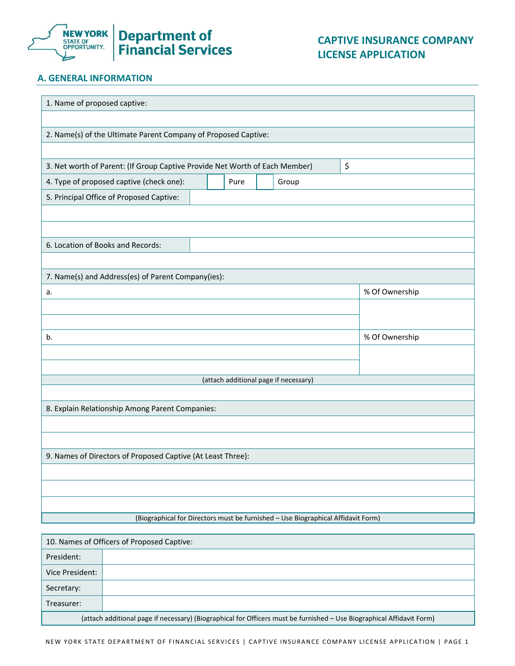

# **Department of<br>Financial Services**

## **A. GENERAL INFORMATION**

| 1. Name of proposed captive:                                                      |                |  |  |
|-----------------------------------------------------------------------------------|----------------|--|--|
|                                                                                   |                |  |  |
| 2. Name(s) of the Ultimate Parent Company of Proposed Captive:                    |                |  |  |
|                                                                                   |                |  |  |
| \$<br>3. Net worth of Parent: (If Group Captive Provide Net Worth of Each Member) |                |  |  |
| 4. Type of proposed captive (check one):<br>Group<br>Pure                         |                |  |  |
| 5. Principal Office of Proposed Captive:                                          |                |  |  |
|                                                                                   |                |  |  |
|                                                                                   |                |  |  |
| 6. Location of Books and Records:                                                 |                |  |  |
|                                                                                   |                |  |  |
| 7. Name(s) and Address(es) of Parent Company(ies):                                |                |  |  |
| a.                                                                                | % Of Ownership |  |  |
|                                                                                   |                |  |  |
|                                                                                   |                |  |  |
| b.                                                                                | % Of Ownership |  |  |
|                                                                                   |                |  |  |
| (attach additional page if necessary)                                             |                |  |  |
|                                                                                   |                |  |  |
| 8. Explain Relationship Among Parent Companies:                                   |                |  |  |
|                                                                                   |                |  |  |
|                                                                                   |                |  |  |
| 9. Names of Directors of Proposed Captive (At Least Three):                       |                |  |  |
|                                                                                   |                |  |  |
|                                                                                   |                |  |  |
|                                                                                   |                |  |  |
| (Biographical for Directors must be furnished - Use Biographical Affidavit Form)  |                |  |  |
| 10. Names of Officers of Proposed Captive:                                        |                |  |  |

| President:      |                                                                                                                       |
|-----------------|-----------------------------------------------------------------------------------------------------------------------|
| Vice President: |                                                                                                                       |
| Secretary:      |                                                                                                                       |
| Treasurer:      |                                                                                                                       |
|                 | (attach additional page if necessary) (Biographical for Officers must be furnished - Use Biographical Affidavit Form) |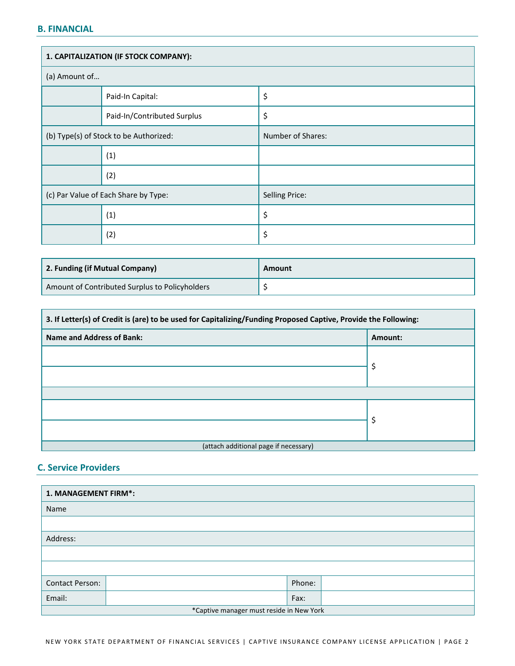### **B. FINANCIAL**

| 1. CAPITALIZATION (IF STOCK COMPANY):  |                             |                       |  |  |
|----------------------------------------|-----------------------------|-----------------------|--|--|
| (a) Amount of                          |                             |                       |  |  |
|                                        | Paid-In Capital:            | \$                    |  |  |
|                                        | Paid-In/Contributed Surplus | \$                    |  |  |
| (b) Type(s) of Stock to be Authorized: |                             | Number of Shares:     |  |  |
|                                        | (1)                         |                       |  |  |
|                                        | (2)                         |                       |  |  |
| (c) Par Value of Each Share by Type:   |                             | <b>Selling Price:</b> |  |  |
|                                        | (1)                         | \$                    |  |  |
|                                        | (2)                         | \$                    |  |  |

| 2. Funding (if Mutual Company)                 | Amount |
|------------------------------------------------|--------|
| Amount of Contributed Surplus to Policyholders |        |

| 3. If Letter(s) of Credit is (are) to be used for Capitalizing/Funding Proposed Captive, Provide the Following: |         |  |
|-----------------------------------------------------------------------------------------------------------------|---------|--|
| Name and Address of Bank:                                                                                       | Amount: |  |
|                                                                                                                 |         |  |
|                                                                                                                 | Ş       |  |
|                                                                                                                 |         |  |
|                                                                                                                 |         |  |
|                                                                                                                 |         |  |
| (attach additional page if necessary)                                                                           |         |  |

#### **C. Service Providers**

| 1. MANAGEMENT FIRM*:                     |  |        |  |  |
|------------------------------------------|--|--------|--|--|
| Name                                     |  |        |  |  |
|                                          |  |        |  |  |
| Address:                                 |  |        |  |  |
|                                          |  |        |  |  |
|                                          |  |        |  |  |
| <b>Contact Person:</b>                   |  | Phone: |  |  |
| Email:                                   |  | Fax:   |  |  |
| *Captive manager must reside in New York |  |        |  |  |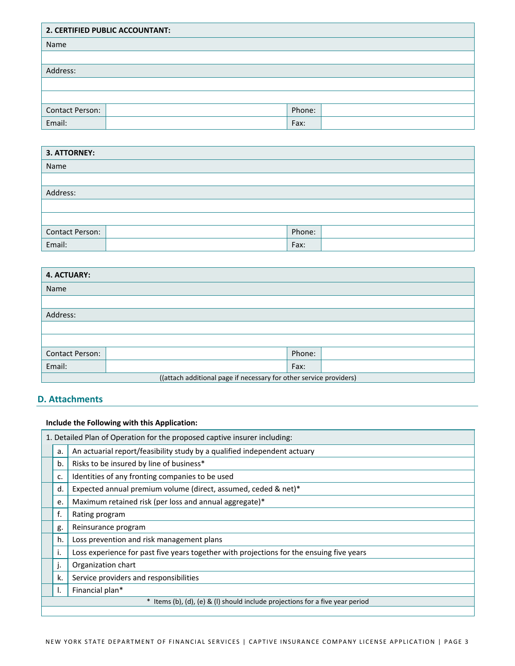| 2. CERTIFIED PUBLIC ACCOUNTANT: |  |        |  |
|---------------------------------|--|--------|--|
| Name                            |  |        |  |
|                                 |  |        |  |
| Address:                        |  |        |  |
|                                 |  |        |  |
|                                 |  |        |  |
| <b>Contact Person:</b>          |  | Phone: |  |
| Email:                          |  | Fax:   |  |

| 3. ATTORNEY:    |  |        |  |
|-----------------|--|--------|--|
| Name            |  |        |  |
|                 |  |        |  |
| Address:        |  |        |  |
|                 |  |        |  |
|                 |  |        |  |
| Contact Person: |  | Phone: |  |
| Email:          |  | Fax:   |  |

| <b>4. ACTUARY:</b>                                                 |  |        |  |
|--------------------------------------------------------------------|--|--------|--|
| Name                                                               |  |        |  |
|                                                                    |  |        |  |
| Address:                                                           |  |        |  |
|                                                                    |  |        |  |
|                                                                    |  |        |  |
| <b>Contact Person:</b>                                             |  | Phone: |  |
| Email:                                                             |  | Fax:   |  |
| ((attach additional page if necessary for other service providers) |  |        |  |

#### **D. Attachments**

 **Include the Following with this Application:** 1. Detailed Plan of Operation for the proposed captive insurer including:  $\vert$  a.  $\vert$  An actuarial report/feasibility study by a qualified independent actuary | b. | Risks to be insured by line of business\* d. Expected annual premium volume (direct, assumed, ceded & net)\* f. Rating program g. | Reinsurance program | h. | Loss prevention and risk management plans  $\vert$  i.  $\vert$  Loss experience for past five years together with projections for the ensuing five years | j. | Organization chart  $\vert$  k. Service providers and responsibilities | I. | Financial plan<sup>\*</sup> \* Items (b), (d), (e) & (l) should include projections for a five year period c. Identities of any fronting companies to be used e. | Maximum retained risk (per loss and annual aggregate)\*